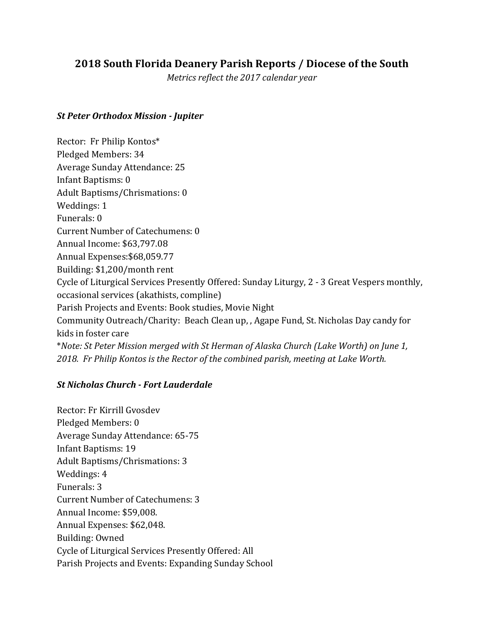# **2018 South Florida Deanery Parish Reports / Diocese of the South**

*Metrics reflect the 2017 calendar year*

#### *St Peter Orthodox Mission - Jupiter*

Rector: Fr Philip Kontos\* Pledged Members: 34 Average Sunday Attendance: 25 Infant Baptisms: 0 Adult Baptisms/Chrismations: 0 Weddings: 1 Funerals: 0 Current Number of Catechumens: 0 Annual Income: \$63,797.08 Annual Expenses: \$68,059.77 Building: \$1,200/month rent Cycle of Liturgical Services Presently Offered: Sunday Liturgy, 2 - 3 Great Vespers monthly, occasional services (akathists, compline) Parish Projects and Events: Book studies, Movie Night Community Outreach/Charity: Beach Clean up,, Agape Fund, St. Nicholas Day candy for kids in foster care \**Note: St Peter Mission merged with St Herman of Alaska Church (Lake Worth) on June 1,*  2018. Fr Philip Kontos is the Rector of the combined parish, meeting at Lake Worth.

#### *St Nicholas Church - Fort Lauderdale*

Rector: Fr Kirrill Gyosdev Pledged Members: 0 Average Sunday Attendance: 65-75 Infant Baptisms: 19 Adult Baptisms/Chrismations: 3 Weddings: 4 Funerals: 3 Current Number of Catechumens: 3 Annual Income: \$59,008. Annual Expenses: \$62,048. Building: Owned Cycle of Liturgical Services Presently Offered: All Parish Projects and Events: Expanding Sunday School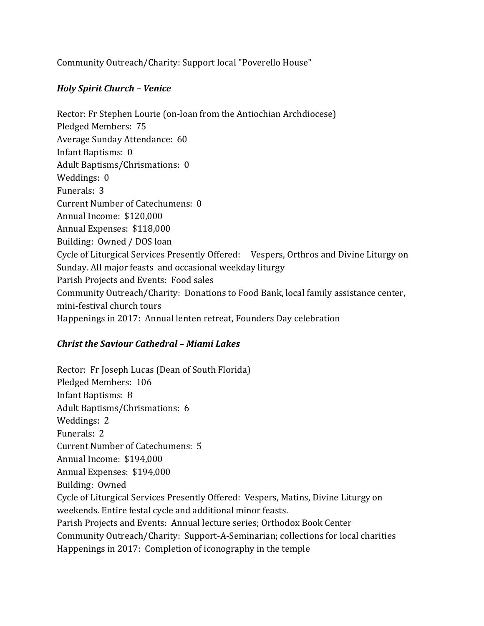Community Outreach/Charity: Support local "Poverello House"

### *Holy Spirit Church – Venice*

Rector: Fr Stephen Lourie (on-loan from the Antiochian Archdiocese) Pledged Members: 75 Average Sunday Attendance: 60 Infant Baptisms: 0 Adult Baptisms/Chrismations: 0 Weddings: 0 Funerals: 3 Current Number of Catechumens: 0 Annual Income: \$120,000 Annual Expenses: \$118,000 Building: Owned / DOS loan Cycle of Liturgical Services Presently Offered: Vespers, Orthros and Divine Liturgy on Sunday. All major feasts and occasional weekday liturgy Parish Projects and Events: Food sales Community Outreach/Charity: Donations to Food Bank, local family assistance center, mini-festival church tours Happenings in 2017: Annual lenten retreat, Founders Day celebration

#### *Christ the Saviour Cathedral - Miami Lakes*

Rector: Fr Joseph Lucas (Dean of South Florida) Pledged Members: 106 Infant Baptisms: 8 Adult Baptisms/Chrismations: 6 Weddings: 2 Funerals: 2 Current Number of Catechumens: 5 Annual Income: \$194,000 Annual Expenses: \$194,000 Building: Owned Cycle of Liturgical Services Presently Offered: Vespers, Matins, Divine Liturgy on weekends. Entire festal cycle and additional minor feasts. Parish Projects and Events: Annual lecture series; Orthodox Book Center Community Outreach/Charity: Support-A-Seminarian; collections for local charities Happenings in 2017: Completion of iconography in the temple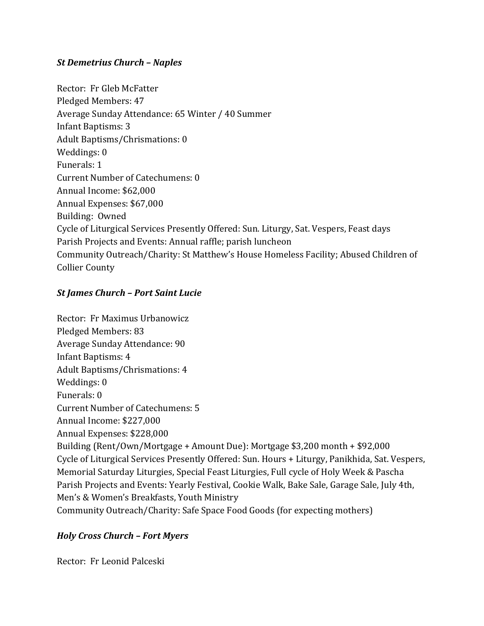## *St Demetrius Church – Naples*

Rector: Fr Gleb McFatter Pledged Members: 47 Average Sunday Attendance: 65 Winter / 40 Summer Infant Baptisms: 3 Adult Baptisms/Chrismations: 0 Weddings: 0 Funerals: 1 Current Number of Catechumens: 0 Annual Income: \$62,000 Annual Expenses: \$67,000 Building: Owned Cycle of Liturgical Services Presently Offered: Sun. Liturgy, Sat. Vespers, Feast days Parish Projects and Events: Annual raffle; parish luncheon Community Outreach/Charity: St Matthew's House Homeless Facility; Abused Children of **Collier County** 

## *St James Church – Port Saint Lucie*

Rector: Fr Maximus Urbanowicz Pledged Members: 83 Average Sunday Attendance: 90 Infant Baptisms: 4 Adult Baptisms/Chrismations: 4 Weddings: 0 Funerals: 0 Current Number of Catechumens: 5 Annual Income: \$227,000 Annual Expenses: \$228,000 Building (Rent/Own/Mortgage + Amount Due): Mortgage \$3,200 month + \$92,000 Cycle of Liturgical Services Presently Offered: Sun. Hours + Liturgy, Panikhida, Sat. Vespers, Memorial Saturday Liturgies, Special Feast Liturgies, Full cycle of Holy Week & Pascha Parish Projects and Events: Yearly Festival, Cookie Walk, Bake Sale, Garage Sale, July 4th, Men's & Women's Breakfasts, Youth Ministry Community Outreach/Charity: Safe Space Food Goods (for expecting mothers)

## *Holy Cross Church – Fort Myers*

Rector: Fr Leonid Palceski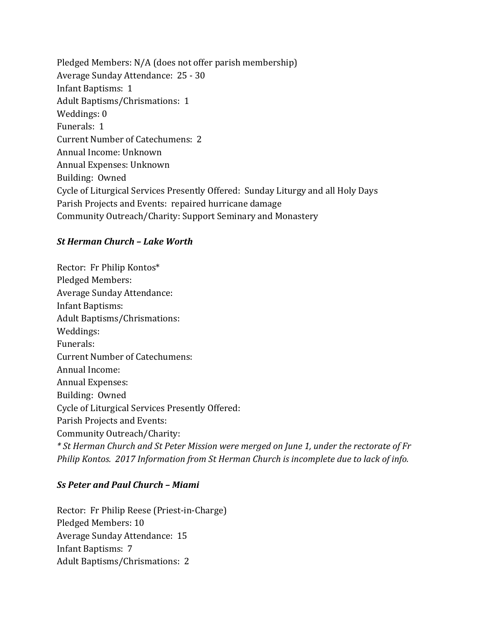Pledged Members:  $N/A$  (does not offer parish membership) Average Sunday Attendance: 25 - 30 Infant Baptisms: 1 Adult Baptisms/Chrismations: 1 Weddings: 0 Funerals: 1 Current Number of Catechumens: 2 Annual Income: Unknown Annual Expenses: Unknown Building: Owned Cycle of Liturgical Services Presently Offered: Sunday Liturgy and all Holy Days Parish Projects and Events: repaired hurricane damage Community Outreach/Charity: Support Seminary and Monastery

#### *St Herman Church – Lake Worth*

Rector: Fr Philip Kontos\* Pledged Members: Average Sunday Attendance: Infant Baptisms: Adult Baptisms/Chrismations: Weddings: Funerals: Current Number of Catechumens: Annual Income: Annual Expenses: Building: Owned Cycle of Liturgical Services Presently Offered: Parish Projects and Events: Community Outreach/Charity: *\* St Herman Church and St Peter Mission were merged on June 1, under the rectorate of Fr Philip Kontos. 2017 Information from St Herman Church is incomplete due to lack of info.* 

#### *Ss Peter and Paul Church – Miami*

Rector: Fr Philip Reese (Priest-in-Charge) Pledged Members: 10 Average Sunday Attendance: 15 Infant Baptisms: 7 Adult Baptisms/Chrismations: 2